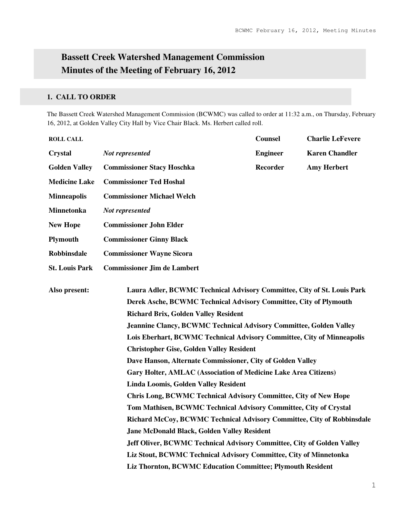# **Bassett Creek Watershed Management Commission Minutes of the Meeting of February 16, 2012**

## **1. CALL TO ORDER**

The Bassett Creek Watershed Management Commission (BCWMC) was called to order at 11:32 a.m., on Thursday, February 16, 2012, at Golden Valley City Hall by Vice Chair Black. Ms. Herbert called roll.

| <b>ROLL CALL</b>      |                                                                                                                                                                                                                                                                                                                                                                                                                                                                                                                                                                                                                                                                                                                                                                                                                                                        | <b>Counsel</b>  | <b>Charlie LeFevere</b> |  |  |
|-----------------------|--------------------------------------------------------------------------------------------------------------------------------------------------------------------------------------------------------------------------------------------------------------------------------------------------------------------------------------------------------------------------------------------------------------------------------------------------------------------------------------------------------------------------------------------------------------------------------------------------------------------------------------------------------------------------------------------------------------------------------------------------------------------------------------------------------------------------------------------------------|-----------------|-------------------------|--|--|
| <b>Crystal</b>        | Not represented                                                                                                                                                                                                                                                                                                                                                                                                                                                                                                                                                                                                                                                                                                                                                                                                                                        | <b>Engineer</b> | <b>Karen Chandler</b>   |  |  |
| <b>Golden Valley</b>  | <b>Commissioner Stacy Hoschka</b>                                                                                                                                                                                                                                                                                                                                                                                                                                                                                                                                                                                                                                                                                                                                                                                                                      | <b>Recorder</b> | <b>Amy Herbert</b>      |  |  |
| <b>Medicine Lake</b>  | <b>Commissioner Ted Hoshal</b>                                                                                                                                                                                                                                                                                                                                                                                                                                                                                                                                                                                                                                                                                                                                                                                                                         |                 |                         |  |  |
| <b>Minneapolis</b>    | <b>Commissioner Michael Welch</b>                                                                                                                                                                                                                                                                                                                                                                                                                                                                                                                                                                                                                                                                                                                                                                                                                      |                 |                         |  |  |
| <b>Minnetonka</b>     | Not represented                                                                                                                                                                                                                                                                                                                                                                                                                                                                                                                                                                                                                                                                                                                                                                                                                                        |                 |                         |  |  |
| <b>New Hope</b>       | <b>Commissioner John Elder</b>                                                                                                                                                                                                                                                                                                                                                                                                                                                                                                                                                                                                                                                                                                                                                                                                                         |                 |                         |  |  |
| <b>Plymouth</b>       | <b>Commissioner Ginny Black</b>                                                                                                                                                                                                                                                                                                                                                                                                                                                                                                                                                                                                                                                                                                                                                                                                                        |                 |                         |  |  |
| <b>Robbinsdale</b>    | <b>Commissioner Wayne Sicora</b>                                                                                                                                                                                                                                                                                                                                                                                                                                                                                                                                                                                                                                                                                                                                                                                                                       |                 |                         |  |  |
| <b>St. Louis Park</b> | <b>Commissioner Jim de Lambert</b>                                                                                                                                                                                                                                                                                                                                                                                                                                                                                                                                                                                                                                                                                                                                                                                                                     |                 |                         |  |  |
|                       | Derek Asche, BCWMC Technical Advisory Committee, City of Plymouth<br><b>Richard Brix, Golden Valley Resident</b><br><b>Jeannine Clancy, BCWMC Technical Advisory Committee, Golden Valley</b><br>Lois Eberhart, BCWMC Technical Advisory Committee, City of Minneapolis<br><b>Christopher Gise, Golden Valley Resident</b><br>Dave Hanson, Alternate Commissioner, City of Golden Valley<br>Gary Holter, AMLAC (Association of Medicine Lake Area Citizens)<br>Linda Loomis, Golden Valley Resident<br>Chris Long, BCWMC Technical Advisory Committee, City of New Hope<br>Tom Mathisen, BCWMC Technical Advisory Committee, City of Crystal<br>Richard McCoy, BCWMC Technical Advisory Committee, City of Robbinsdale<br><b>Jane McDonald Black, Golden Valley Resident</b><br>Jeff Oliver, BCWMC Technical Advisory Committee, City of Golden Valley |                 |                         |  |  |
|                       | Liz Stout, BCWMC Technical Advisory Committee, City of Minnetonka<br>Liz Thornton, BCWMC Education Committee; Plymouth Resident                                                                                                                                                                                                                                                                                                                                                                                                                                                                                                                                                                                                                                                                                                                        |                 |                         |  |  |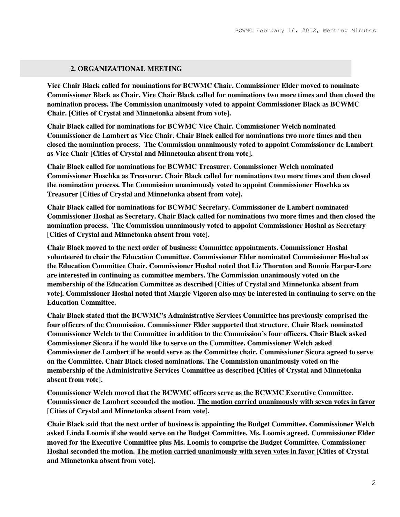#### **2. ORGANIZATIONAL MEETING**

**Vice Chair Black called for nominations for BCWMC Chair. Commissioner Elder moved to nominate Commissioner Black as Chair. Vice Chair Black called for nominations two more times and then closed the nomination process. The Commission unanimously voted to appoint Commissioner Black as BCWMC Chair. [Cities of Crystal and Minnetonka absent from vote].** 

**Chair Black called for nominations for BCWMC Vice Chair. Commissioner Welch nominated Commissioner de Lambert as Vice Chair. Chair Black called for nominations two more times and then closed the nomination process. The Commission unanimously voted to appoint Commissioner de Lambert as Vice Chair [Cities of Crystal and Minnetonka absent from vote].** 

**Chair Black called for nominations for BCWMC Treasurer. Commissioner Welch nominated Commissioner Hoschka as Treasurer. Chair Black called for nominations two more times and then closed the nomination process. The Commission unanimously voted to appoint Commissioner Hoschka as Treasurer [Cities of Crystal and Minnetonka absent from vote].** 

**Chair Black called for nominations for BCWMC Secretary. Commissioner de Lambert nominated Commissioner Hoshal as Secretary. Chair Black called for nominations two more times and then closed the nomination process. The Commission unanimously voted to appoint Commissioner Hoshal as Secretary [Cities of Crystal and Minnetonka absent from vote].** 

**Chair Black moved to the next order of business: Committee appointments. Commissioner Hoshal volunteered to chair the Education Committee. Commissioner Elder nominated Commissioner Hoshal as the Education Committee Chair. Commissioner Hoshal noted that Liz Thornton and Bonnie Harper-Lore are interested in continuing as committee members. The Commission unanimously voted on the membership of the Education Committee as described [Cities of Crystal and Minnetonka absent from vote]. Commissioner Hoshal noted that Margie Vigoren also may be interested in continuing to serve on the Education Committee.** 

**Chair Black stated that the BCWMC's Administrative Services Committee has previously comprised the four officers of the Commission. Commissioner Elder supported that structure. Chair Black nominated Commissioner Welch to the Committee in addition to the Commission's four officers. Chair Black asked Commissioner Sicora if he would like to serve on the Committee. Commissioner Welch asked Commissioner de Lambert if he would serve as the Committee chair. Commissioner Sicora agreed to serve on the Committee. Chair Black closed nominations. The Commission unanimously voted on the membership of the Administrative Services Committee as described [Cities of Crystal and Minnetonka absent from vote].** 

**Commissioner Welch moved that the BCWMC officers serve as the BCWMC Executive Committee. Commissioner de Lambert seconded the motion. The motion carried unanimously with seven votes in favor [Cities of Crystal and Minnetonka absent from vote].** 

**Chair Black said that the next order of business is appointing the Budget Committee. Commissioner Welch asked Linda Loomis if she would serve on the Budget Committee. Ms. Loomis agreed. Commissioner Elder moved for the Executive Committee plus Ms. Loomis to comprise the Budget Committee. Commissioner Hoshal seconded the motion. The motion carried unanimously with seven votes in favor [Cities of Crystal and Minnetonka absent from vote].**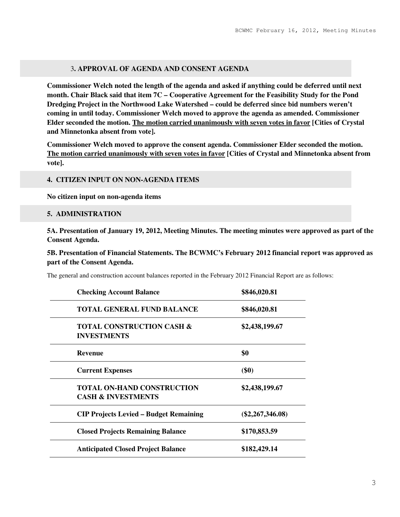### 3**. APPROVAL OF AGENDA AND CONSENT AGENDA**

**Commissioner Welch noted the length of the agenda and asked if anything could be deferred until next month. Chair Black said that item 7C – Cooperative Agreement for the Feasibility Study for the Pond Dredging Project in the Northwood Lake Watershed – could be deferred since bid numbers weren't coming in until today. Commissioner Welch moved to approve the agenda as amended. Commissioner Elder seconded the motion. The motion carried unanimously with seven votes in favor [Cities of Crystal and Minnetonka absent from vote].** 

**Commissioner Welch moved to approve the consent agenda. Commissioner Elder seconded the motion. The motion carried unanimously with seven votes in favor [Cities of Crystal and Minnetonka absent from vote].** 

### **4. CITIZEN INPUT ON NON-AGENDA ITEMS**

**No citizen input on non-agenda items** 

## **5. ADMINISTRATION**

**5A. Presentation of January 19, 2012, Meeting Minutes. The meeting minutes were approved as part of the Consent Agenda.** 

**5B. Presentation of Financial Statements. The BCWMC's February 2012 financial report was approved as part of the Consent Agenda.** 

The general and construction account balances reported in the February 2012 Financial Report are as follows:

| <b>Checking Account Balance</b>                                    | \$846,020.81       |  |
|--------------------------------------------------------------------|--------------------|--|
| <b>TOTAL GENERAL FUND BALANCE</b>                                  | \$846,020.81       |  |
| <b>TOTAL CONSTRUCTION CASH &amp;</b><br><b>INVESTMENTS</b>         | \$2,438,199.67     |  |
| <b>Revenue</b>                                                     | \$0                |  |
| <b>Current Expenses</b>                                            | $(\$0)$            |  |
| <b>TOTAL ON-HAND CONSTRUCTION</b><br><b>CASH &amp; INVESTMENTS</b> | \$2,438,199.67     |  |
| <b>CIP Projects Levied – Budget Remaining</b>                      | $(\$2,267,346.08)$ |  |
| <b>Closed Projects Remaining Balance</b>                           | \$170,853.59       |  |
| <b>Anticipated Closed Project Balance</b>                          | \$182,429.14       |  |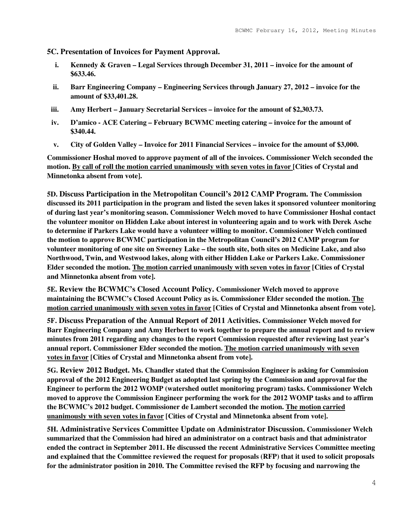**5C. Presentation of Invoices for Payment Approval.** 

- **i. Kennedy & Graven Legal Services through December 31, 2011 invoice for the amount of \$633.46.**
- **ii. Barr Engineering Company Engineering Services through January 27, 2012 invoice for the amount of \$33,401.28.**
- **iii. Amy Herbert January Secretarial Services invoice for the amount of \$2,303.73.**
- **iv. D'amico ACE Catering February BCWMC meeting catering invoice for the amount of \$340.44.**
- **v. City of Golden Valley Invoice for 2011 Financial Services invoice for the amount of \$3,000.**

**Commissioner Hoshal moved to approve payment of all of the invoices. Commissioner Welch seconded the motion. By call of roll the motion carried unanimously with seven votes in favor [Cities of Crystal and Minnetonka absent from vote].** 

**5D. Discuss Participation in the Metropolitan Council's 2012 CAMP Program. The Commission discussed its 2011 participation in the program and listed the seven lakes it sponsored volunteer monitoring of during last year's monitoring season. Commissioner Welch moved to have Commissioner Hoshal contact the volunteer monitor on Hidden Lake about interest in volunteering again and to work with Derek Asche to determine if Parkers Lake would have a volunteer willing to monitor. Commissioner Welch continued the motion to approve BCWMC participation in the Metropolitan Council's 2012 CAMP program for volunteer monitoring of one site on Sweeney Lake – the south site, both sites on Medicine Lake, and also Northwood, Twin, and Westwood lakes, along with either Hidden Lake or Parkers Lake. Commissioner Elder seconded the motion. The motion carried unanimously with seven votes in favor [Cities of Crystal and Minnetonka absent from vote].**

**5E. Review the BCWMC's Closed Account Policy. Commissioner Welch moved to approve maintaining the BCWMC's Closed Account Policy as is. Commissioner Elder seconded the motion. The motion carried unanimously with seven votes in favor [Cities of Crystal and Minnetonka absent from vote].** 

**5F. Discuss Preparation of the Annual Report of 2011 Activities. Commissioner Welch moved for Barr Engineering Company and Amy Herbert to work together to prepare the annual report and to review minutes from 2011 regarding any changes to the report Commission requested after reviewing last year's annual report. Commissioner Elder seconded the motion. The motion carried unanimously with seven votes in favor [Cities of Crystal and Minnetonka absent from vote].** 

**5G. Review 2012 Budget. Ms. Chandler stated that the Commission Engineer is asking for Commission approval of the 2012 Engineering Budget as adopted last spring by the Commission and approval for the Engineer to perform the 2012 WOMP (watershed outlet monitoring program) tasks. Commissioner Welch moved to approve the Commission Engineer performing the work for the 2012 WOMP tasks and to affirm the BCWMC's 2012 budget. Commissioner de Lambert seconded the motion. The motion carried unanimously with seven votes in favor [Cities of Crystal and Minnetonka absent from vote].** 

**5H. Administrative Services Committee Update on Administrator Discussion. Commissioner Welch summarized that the Commission had hired an administrator on a contract basis and that administrator ended the contract in September 2011. He discussed the recent Administrative Services Committee meeting and explained that the Committee reviewed the request for proposals (RFP) that it used to solicit proposals for the administrator position in 2010. The Committee revised the RFP by focusing and narrowing the**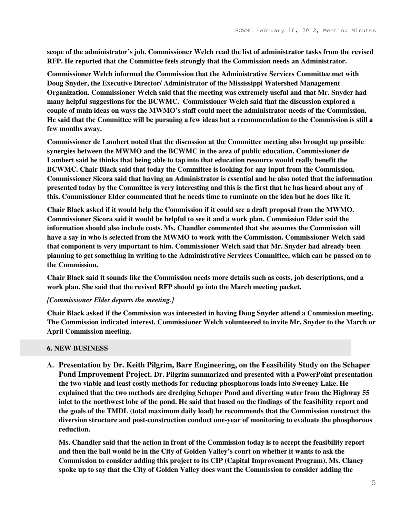**scope of the administrator's job. Commissioner Welch read the list of administrator tasks from the revised RFP. He reported that the Committee feels strongly that the Commission needs an Administrator.** 

**Commissioner Welch informed the Commission that the Administrative Services Committee met with Doug Snyder, the Executive Director/ Administrator of the Mississippi Watershed Management Organization. Commissioner Welch said that the meeting was extremely useful and that Mr. Snyder had many helpful suggestions for the BCWMC. Commissioner Welch said that the discussion explored a couple of main ideas on ways the MWMO's staff could meet the administrator needs of the Commission. He said that the Committee will be pursuing a few ideas but a recommendation to the Commission is still a few months away.** 

**Commissioner de Lambert noted that the discussion at the Committee meeting also brought up possible synergies between the MWMO and the BCWMC in the area of public education. Commissioner de Lambert said he thinks that being able to tap into that education resource would really benefit the BCWMC. Chair Black said that today the Committee is looking for any input from the Commission. Commissioner Sicora said that having an Administrator is essential and he also noted that the information presented today by the Committee is very interesting and this is the first that he has heard about any of this. Commissioner Elder commented that he needs time to ruminate on the idea but he does like it.** 

**Chair Black asked if it would help the Commission if it could see a draft proposal from the MWMO. Commissioner Sicora said it would be helpful to see it and a work plan. Commission Elder said the information should also include costs. Ms. Chandler commented that she assumes the Commission will have a say in who is selected from the MWMO to work with the Commission. Commissioner Welch said that component is very important to him. Commissioner Welch said that Mr. Snyder had already been planning to get something in writing to the Administrative Services Committee, which can be passed on to the Commission.** 

**Chair Black said it sounds like the Commission needs more details such as costs, job descriptions, and a work plan. She said that the revised RFP should go into the March meeting packet.** 

## *[Commissioner Elder departs the meeting.]*

**Chair Black asked if the Commission was interested in having Doug Snyder attend a Commission meeting. The Commission indicated interest. Commissioner Welch volunteered to invite Mr. Snyder to the March or April Commission meeting.** 

### **6. NEW BUSINESS**

**A. Presentation by Dr. Keith Pilgrim, Barr Engineering, on the Feasibility Study on the Schaper Pond Improvement Project. Dr. Pilgrim summarized and presented with a PowerPoint presentation the two viable and least costly methods for reducing phosphorous loads into Sweeney Lake. He explained that the two methods are dredging Schaper Pond and diverting water from the Highway 55 inlet to the northwest lobe of the pond. He said that based on the findings of the feasibility report and the goals of the TMDL (total maximum daily load) he recommends that the Commission construct the diversion structure and post-construction conduct one-year of monitoring to evaluate the phosphorous reduction.** 

**Ms. Chandler said that the action in front of the Commission today is to accept the feasibility report and then the ball would be in the City of Golden Valley's court on whether it wants to ask the Commission to consider adding this project to its CIP (Capital Improvement Program). Ms. Clancy spoke up to say that the City of Golden Valley does want the Commission to consider adding the**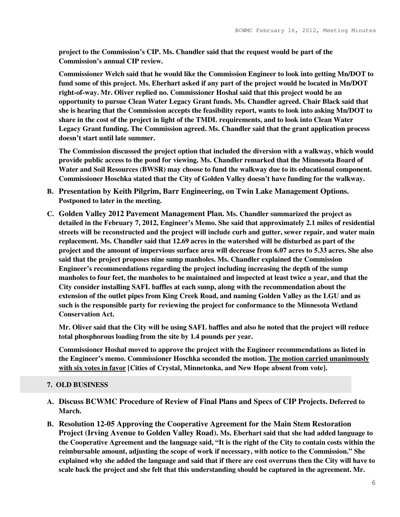**project to the Commission's CIP. Ms. Chandler said that the request would be part of the Commission's annual CIP review.** 

**Commissioner Welch said that he would like the Commission Engineer to look into getting Mn/DOT to fund some of this project. Ms. Eberhart asked if any part of the project would be located in Mn/DOT right-of-way. Mr. Oliver replied no. Commissioner Hoshal said that this project would be an opportunity to pursue Clean Water Legacy Grant funds. Ms. Chandler agreed. Chair Black said that she is hearing that the Commission accepts the feasibility report, wants to look into asking Mn/DOT to share in the cost of the project in light of the TMDL requirements, and to look into Clean Water Legacy Grant funding. The Commission agreed. Ms. Chandler said that the grant application process doesn't start until late summer.** 

**The Commission discussed the project option that included the diversion with a walkway, which would provide public access to the pond for viewing. Ms. Chandler remarked that the Minnesota Board of Water and Soil Resources (BWSR) may choose to fund the walkway due to its educational component. Commissioner Hoschka stated that the City of Golden Valley doesn't have funding for the walkway.** 

- **B. Presentation by Keith Pilgrim, Barr Engineering, on Twin Lake Management Options. Postponed to later in the meeting.**
- **C. Golden Valley 2012 Pavement Management Plan. Ms. Chandler summarized the project as detailed in the February 7, 2012, Engineer's Memo. She said that approximately 2.1 miles of residential streets will be reconstructed and the project will include curb and gutter, sewer repair, and water main replacement. Ms. Chandler said that 12.69 acres in the watershed will be disturbed as part of the project and the amount of impervious surface area will decrease from 6.07 acres to 5.33 acres. She also said that the project proposes nine sump manholes. Ms. Chandler explained the Commission Engineer's recommendations regarding the project including increasing the depth of the sump manholes to four feet, the manholes to be maintained and inspected at least twice a year, and that the City consider installing SAFL baffles at each sump, along with the recommendation about the extension of the outlet pipes from King Creek Road, and naming Golden Valley as the LGU and as such is the responsible party for reviewing the project for conformance to the Minnesota Wetland Conservation Act.**

**Mr. Oliver said that the City will be using SAFL baffles and also he noted that the project will reduce total phosphorous loading from the site by 1.4 pounds per year.** 

**Commissioner Hoshal moved to approve the project with the Engineer recommendations as listed in the Engineer's memo. Commissioner Hoschka seconded the motion. The motion carried unanimously with six votes in favor [Cities of Crystal, Minnetonka, and New Hope absent from vote].**

### **7. OLD BUSINESS**

- **A. Discuss BCWMC Procedure of Review of Final Plans and Specs of CIP Projects. Deferred to March.**
- **B. Resolution 12-05 Approving the Cooperative Agreement for the Main Stem Restoration Project (Irving Avenue to Golden Valley Road). Ms. Eberhart said that she had added language to the Cooperative Agreement and the language said, "It is the right of the City to contain costs within the reimbursable amount, adjusting the scope of work if necessary, with notice to the Commission." She explained why she added the language and said that if there are cost overruns then the City will have to scale back the project and she felt that this understanding should be captured in the agreement. Mr.**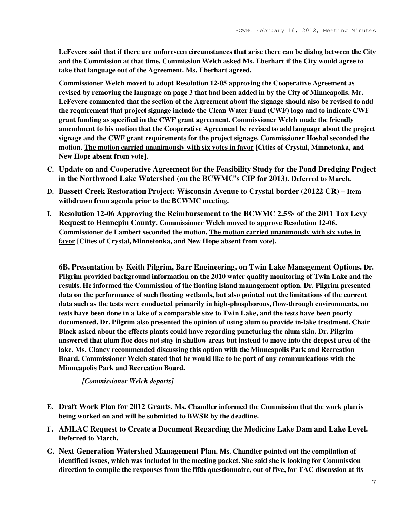**LeFevere said that if there are unforeseen circumstances that arise there can be dialog between the City and the Commission at that time. Commission Welch asked Ms. Eberhart if the City would agree to take that language out of the Agreement. Ms. Eberhart agreed.** 

**Commissioner Welch moved to adopt Resolution 12-05 approving the Cooperative Agreement as revised by removing the language on page 3 that had been added in by the City of Minneapolis. Mr. LeFevere commented that the section of the Agreement about the signage should also be revised to add the requirement that project signage include the Clean Water Fund (CWF) logo and to indicate CWF grant funding as specified in the CWF grant agreement. Commissioner Welch made the friendly amendment to his motion that the Cooperative Agreement be revised to add language about the project signage and the CWF grant requirements for the project signage. Commissioner Hoshal seconded the motion. The motion carried unanimously with six votes in favor [Cities of Crystal, Minnetonka, and New Hope absent from vote].** 

- **C. Update on and Cooperative Agreement for the Feasibility Study for the Pond Dredging Project in the Northwood Lake Watershed (on the BCWMC's CIP for 2013). Deferred to March.**
- **D. Bassett Creek Restoration Project: Wisconsin Avenue to Crystal border (20122 CR) – Item withdrawn from agenda prior to the BCWMC meeting.**
- **I. Resolution 12-06 Approving the Reimbursement to the BCWMC 2.5% of the 2011 Tax Levy Request to Hennepin County. Commissioner Welch moved to approve Resolution 12-06. Commissioner de Lambert seconded the motion. The motion carried unanimously with six votes in favor [Cities of Crystal, Minnetonka, and New Hope absent from vote].**

**6B. Presentation by Keith Pilgrim, Barr Engineering, on Twin Lake Management Options. Dr. Pilgrim provided background information on the 2010 water quality monitoring of Twin Lake and the results. He informed the Commission of the floating island management option. Dr. Pilgrim presented data on the performance of such floating wetlands, but also pointed out the limitations of the current data such as the tests were conducted primarily in high-phosphorous, flow-through environments, no tests have been done in a lake of a comparable size to Twin Lake, and the tests have been poorly documented. Dr. Pilgrim also presented the opinion of using alum to provide in-lake treatment. Chair Black asked about the effects plants could have regarding puncturing the alum skin. Dr. Pilgrim answered that alum floc does not stay in shallow areas but instead to move into the deepest area of the lake. Ms. Clancy recommended discussing this option with the Minneapolis Park and Recreation Board. Commissioner Welch stated that he would like to be part of any communications with the Minneapolis Park and Recreation Board.** 

*[Commissioner Welch departs]*

- **E. Draft Work Plan for 2012 Grants. Ms. Chandler informed the Commission that the work plan is being worked on and will be submitted to BWSR by the deadline.**
- **F. AMLAC Request to Create a Document Regarding the Medicine Lake Dam and Lake Level. Deferred to March.**
- **G. Next Generation Watershed Management Plan. Ms. Chandler pointed out the compilation of identified issues, which was included in the meeting packet. She said she is looking for Commission direction to compile the responses from the fifth questionnaire, out of five, for TAC discussion at its**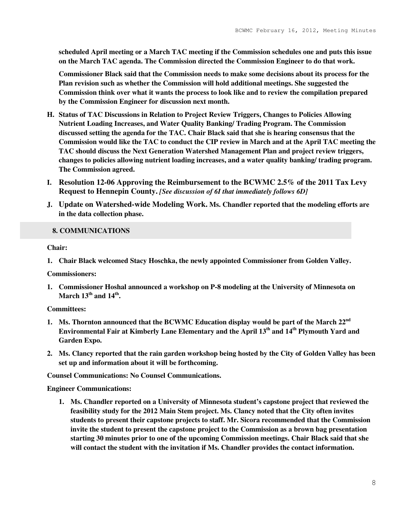**scheduled April meeting or a March TAC meeting if the Commission schedules one and puts this issue on the March TAC agenda. The Commission directed the Commission Engineer to do that work.** 

**Commissioner Black said that the Commission needs to make some decisions about its process for the Plan revision such as whether the Commission will hold additional meetings. She suggested the Commission think over what it wants the process to look like and to review the compilation prepared by the Commission Engineer for discussion next month.** 

- **H. Status of TAC Discussions in Relation to Project Review Triggers, Changes to Policies Allowing Nutrient Loading Increases, and Water Quality Banking/ Trading Program. The Commission discussed setting the agenda for the TAC. Chair Black said that she is hearing consensus that the Commission would like the TAC to conduct the CIP review in March and at the April TAC meeting the TAC should discuss the Next Generation Watershed Management Plan and project review triggers, changes to policies allowing nutrient loading increases, and a water quality banking/ trading program. The Commission agreed.**
- **I. Resolution 12-06 Approving the Reimbursement to the BCWMC 2.5% of the 2011 Tax Levy Request to Hennepin County.** *[See discussion of 6I that immediately follows 6D]*
- **J. Update on Watershed-wide Modeling Work. Ms. Chandler reported that the modeling efforts are in the data collection phase.**

## **8. COMMUNICATIONS**

**Chair:** 

**1. Chair Black welcomed Stacy Hoschka, the newly appointed Commissioner from Golden Valley.** 

**Commissioners:** 

**1. Commissioner Hoshal announced a workshop on P-8 modeling at the University of Minnesota on March 13th and 14th .** 

**Committees:** 

- **1. Ms. Thornton announced that the BCWMC Education display would be part of the March 22nd Environmental Fair at Kimberly Lane Elementary and the April 13th and 14th Plymouth Yard and Garden Expo.**
- **2. Ms. Clancy reported that the rain garden workshop being hosted by the City of Golden Valley has been set up and information about it will be forthcoming.**

**Counsel Communications: No Counsel Communications.** 

**Engineer Communications:** 

**1. Ms. Chandler reported on a University of Minnesota student's capstone project that reviewed the feasibility study for the 2012 Main Stem project. Ms. Clancy noted that the City often invites students to present their capstone projects to staff. Mr. Sicora recommended that the Commission invite the student to present the capstone project to the Commission as a brown bag presentation starting 30 minutes prior to one of the upcoming Commission meetings. Chair Black said that she will contact the student with the invitation if Ms. Chandler provides the contact information.**